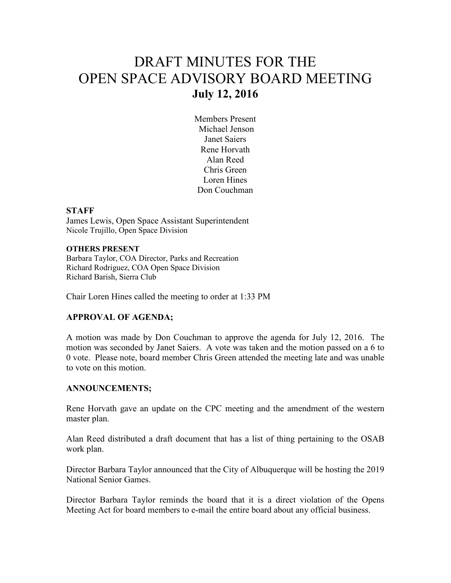# DRAFT MINUTES FOR THE OPEN SPACE ADVISORY BOARD MEETING **July 12, 2016**

Members Present Michael Jenson Janet Saiers Rene Horvath Alan Reed Chris Green Loren Hines Don Couchman

#### **STAFF**

James Lewis, Open Space Assistant Superintendent Nicole Trujillo, Open Space Division

#### **OTHERS PRESENT**

Barbara Taylor, COA Director, Parks and Recreation Richard Rodriguez, COA Open Space Division Richard Barish, Sierra Club

Chair Loren Hines called the meeting to order at 1:33 PM

## **APPROVAL OF AGENDA;**

A motion was made by Don Couchman to approve the agenda for July 12, 2016. The motion was seconded by Janet Saiers. A vote was taken and the motion passed on a 6 to 0 vote. Please note, board member Chris Green attended the meeting late and was unable to vote on this motion.

## **ANNOUNCEMENTS;**

Rene Horvath gave an update on the CPC meeting and the amendment of the western master plan.

Alan Reed distributed a draft document that has a list of thing pertaining to the OSAB work plan.

Director Barbara Taylor announced that the City of Albuquerque will be hosting the 2019 National Senior Games.

Director Barbara Taylor reminds the board that it is a direct violation of the Opens Meeting Act for board members to e-mail the entire board about any official business.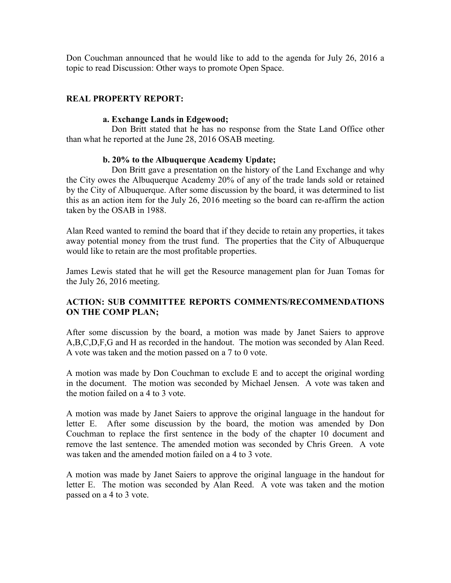Don Couchman announced that he would like to add to the agenda for July 26, 2016 a topic to read Discussion: Other ways to promote Open Space.

# **REAL PROPERTY REPORT:**

#### **a. Exchange Lands in Edgewood;**

Don Britt stated that he has no response from the State Land Office other than what he reported at the June 28, 2016 OSAB meeting.

## **b. 20% to the Albuquerque Academy Update;**

 Don Britt gave a presentation on the history of the Land Exchange and why the City owes the Albuquerque Academy 20% of any of the trade lands sold or retained by the City of Albuquerque. After some discussion by the board, it was determined to list this as an action item for the July 26, 2016 meeting so the board can re-affirm the action taken by the OSAB in 1988.

Alan Reed wanted to remind the board that if they decide to retain any properties, it takes away potential money from the trust fund. The properties that the City of Albuquerque would like to retain are the most profitable properties.

James Lewis stated that he will get the Resource management plan for Juan Tomas for the July 26, 2016 meeting.

# **ACTION: SUB COMMITTEE REPORTS COMMENTS/RECOMMENDATIONS ON THE COMP PLAN;**

After some discussion by the board, a motion was made by Janet Saiers to approve A,B,C,D,F,G and H as recorded in the handout. The motion was seconded by Alan Reed. A vote was taken and the motion passed on a 7 to 0 vote.

A motion was made by Don Couchman to exclude E and to accept the original wording in the document. The motion was seconded by Michael Jensen. A vote was taken and the motion failed on a 4 to 3 vote.

A motion was made by Janet Saiers to approve the original language in the handout for letter E. After some discussion by the board, the motion was amended by Don Couchman to replace the first sentence in the body of the chapter 10 document and remove the last sentence. The amended motion was seconded by Chris Green. A vote was taken and the amended motion failed on a 4 to 3 vote.

A motion was made by Janet Saiers to approve the original language in the handout for letter E. The motion was seconded by Alan Reed. A vote was taken and the motion passed on a 4 to 3 vote.